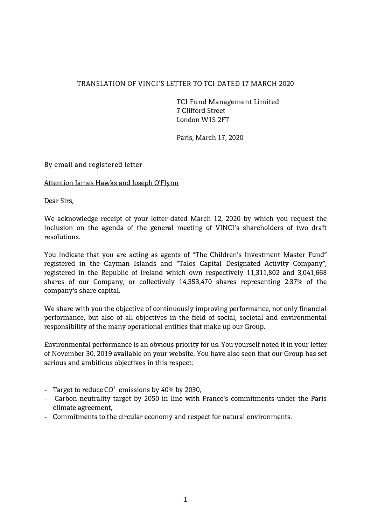## **TRANSLATION OF VINCI'S LETTER TO TCI DATED 17 MARCH 2020**

**TCI Fund Management Limited 7 Clifford Street London W1S 2FT**

**Paris, March 17, 2020**

## **By email and registered letter**

**Attention James Hawks and Joseph O'Flynn**

**Dear Sirs,**

**We acknowledge receipt of your letter dated March 12, 2020 by which you request the inclusion on the agenda of the general meeting of VINCI's shareholders of two draft resolutions.**

**You indicate that you are acting as agents of "The Children's Investment Master Fund" registered in the Cayman Islands and "Talos Capital Designated Activity Company", registered in the Republic of Ireland which own respectively 11,311,802 and 3,041,668 shares of our Company, or collectively 14,353,470 shares representing 2.37% of the company's share capital.**

**We share with you the objective of continuously improving performance, not only financial performance, but also of all objectives in the field of social, societal and environmental responsibility of the many operational entities that make up our Group.**

**Environmental performance is an obvious priority for us. You yourself noted it in your letter of November 30, 2019 available on your website. You have also seen that our Group has set serious and ambitious objectives in this respect:**

- **- Target to reduce CO² emissions by 40% by 2030,**
- **- Carbon neutrality target by 2050 in line with France's commitments under the Paris climate agreement,**
- **- Commitments to the circular economy and respect for natural environments.**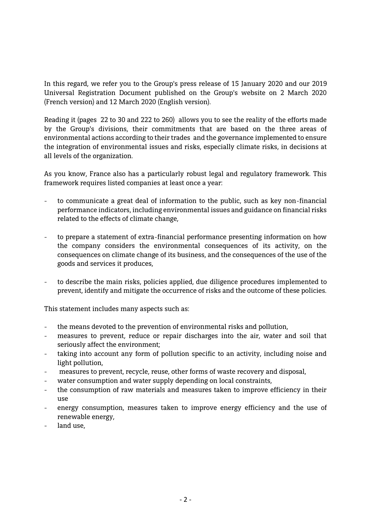**In this regard, we refer you to the Group's press release of 15 January 2020 and our 2019 Universal Registration Document published on the Group's website on 2 March 2020 (French version) and 12 March 2020 (English version).**

**Reading it (pages 22 to 30 and 222 to 260) allows you to see the reality of the efforts made by the Group's divisions, their commitments that are based on the three areas of environmental actions according to their trades and the governance implemented to ensure the integration of environmental issues and risks, especially climate risks, in decisions at all levels of the organization.**

**As you know, France also has a particularly robust legal and regulatory framework. This framework requires listed companies at least once a year:**

- **- to communicate a great deal of information to the public, such as key non-financial performance indicators, including environmental issues and guidance on financial risks related to the effects of climate change,**
- **- to prepare a statement of extra-financial performance presenting information on how the company considers the environmental consequences of its activity, on the consequences on climate change of its business, and the consequences of the use of the goods and services it produces,**
- **- to describe the main risks, policies applied, due diligence procedures implemented to prevent, identify and mitigate the occurrence of risks and the outcome of these policies.**

**This statement includes many aspects such as:**

- **- the means devoted to the prevention of environmental risks and pollution,**
- **- measures to prevent, reduce or repair discharges into the air, water and soil that seriously affect the environment;**
- **- taking into account any form of pollution specific to an activity, including noise and light pollution,**
- **- measures to prevent, recycle, reuse, other forms of waste recovery and disposal,**
- **- water consumption and water supply depending on local constraints,**
- **- the consumption of raw materials and measures taken to improve efficiency in their use**
- **- energy consumption, measures taken to improve energy efficiency and the use of renewable energy,**
- **- land use,**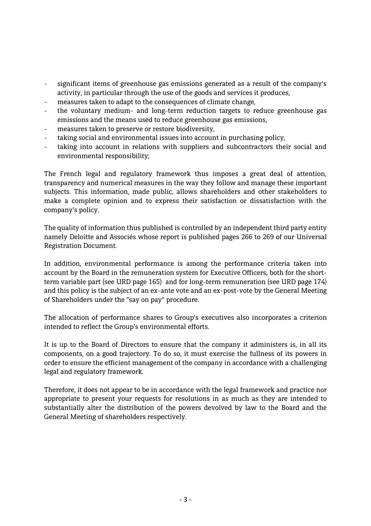- **- significant items of greenhouse gas emissions generated as a result of the company's activity, in particular through the use of the goods and services it produces,**
- **- measures taken to adapt to the consequences of climate change,**
- **- the voluntary medium- and long-term reduction targets to reduce greenhouse gas emissions and the means used to reduce greenhouse gas emissions,**
- **- measures taken to preserve or restore biodiversity,**
- **- taking social and environmental issues into account in purchasing policy,**
- **- taking into account in relations with suppliers and subcontractors their social and environmental responsibility;**

**The French legal and regulatory framework thus imposes a great deal of attention, transparency and numerical measures in the way they follow and manage these important subjects. This information, made public, allows shareholders and other stakeholders to make a complete opinion and to express their satisfaction or dissatisfaction with the company's policy.**

**The quality of information thus published is controlled by an independent third party entity namely Deloitte and Associés whose report is published pages 266 to 269 of our Universal Registration Document.**

**In addition, environmental performance is among the performance criteria taken into account by the Board in the remuneration system for Executive Officers, both for the shortterm variable part (see URD page 165) and for long-term remuneration (see URD page 174) and this policy is the subject of an ex-ante vote and an ex-post-vote by the General Meeting of Shareholders under the "say on pay" procedure.**

**The allocation of performance shares to Group's executives also incorporates a criterion intended to reflect the Group's environmental efforts.**

**It is up to the Board of Directors to ensure that the company it administers is, in all its components, on a good trajectory. To do so, it must exercise the fullness of its powers in order to ensure the efficient management of the company in accordance with a challenging legal and regulatory framework.**

**Therefore, it does not appear to be in accordance with the legal framework and practice nor appropriate to present your requests for resolutions in as much as they are intended to substantially alter the distribution of the powers devolved by law to the Board and the General Meeting of shareholders respectively.**